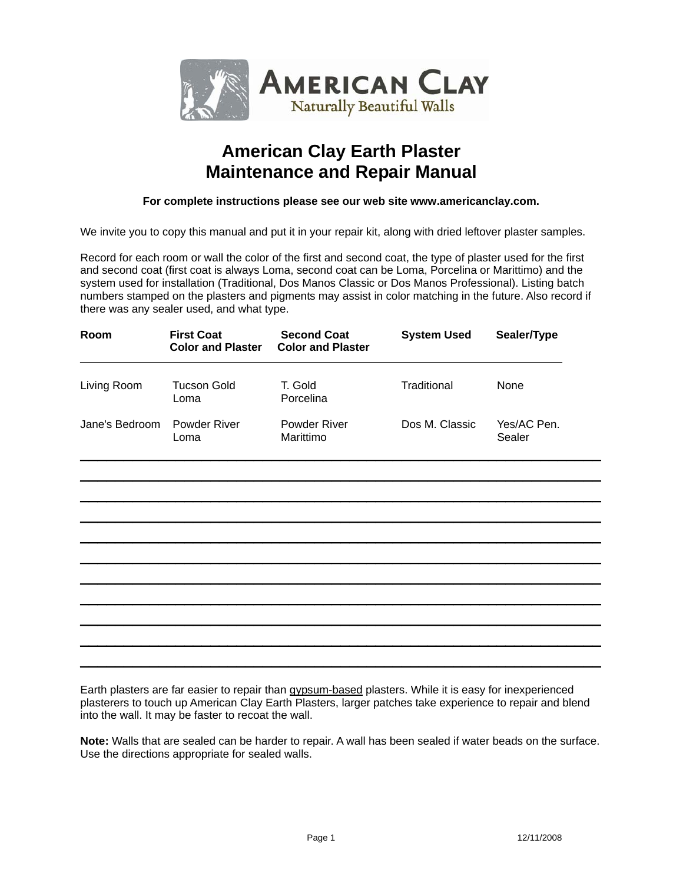

# **American Clay Earth Plaster Maintenance and Repair Manual**

#### **For complete instructions please see our web site www.americanclay.com.**

We invite you to copy this manual and put it in your repair kit, along with dried leftover plaster samples.

Record for each room or wall the color of the first and second coat, the type of plaster used for the first and second coat (first coat is always Loma, second coat can be Loma, Porcelina or Marittimo) and the system used for installation (Traditional, Dos Manos Classic or Dos Manos Professional). Listing batch numbers stamped on the plasters and pigments may assist in color matching in the future. Also record if there was any sealer used, and what type.

| Room           | <b>First Coat</b><br><b>Color and Plaster</b> | <b>Second Coat</b><br><b>Color and Plaster</b> | <b>System Used</b> | Sealer/Type           |  |
|----------------|-----------------------------------------------|------------------------------------------------|--------------------|-----------------------|--|
| Living Room    | <b>Tucson Gold</b><br>Loma                    | T. Gold<br>Porcelina                           | Traditional        | None                  |  |
| Jane's Bedroom | Powder River<br>Loma                          | Powder River<br>Marittimo                      | Dos M. Classic     | Yes/AC Pen.<br>Sealer |  |
|                |                                               |                                                |                    |                       |  |
|                |                                               |                                                |                    |                       |  |
|                |                                               |                                                |                    |                       |  |
|                |                                               |                                                |                    |                       |  |
|                |                                               |                                                |                    |                       |  |
|                |                                               |                                                |                    |                       |  |
|                |                                               |                                                |                    |                       |  |
|                |                                               |                                                |                    |                       |  |
|                |                                               |                                                |                    |                       |  |
|                |                                               |                                                |                    |                       |  |

Earth plasters are far easier to repair than gypsum-based plasters. While it is easy for inexperienced plasterers to touch up American Clay Earth Plasters, larger patches take experience to repair and blend into the wall. It may be faster to recoat the wall.

**Note:** Walls that are sealed can be harder to repair. A wall has been sealed if water beads on the surface. Use the directions appropriate for sealed walls.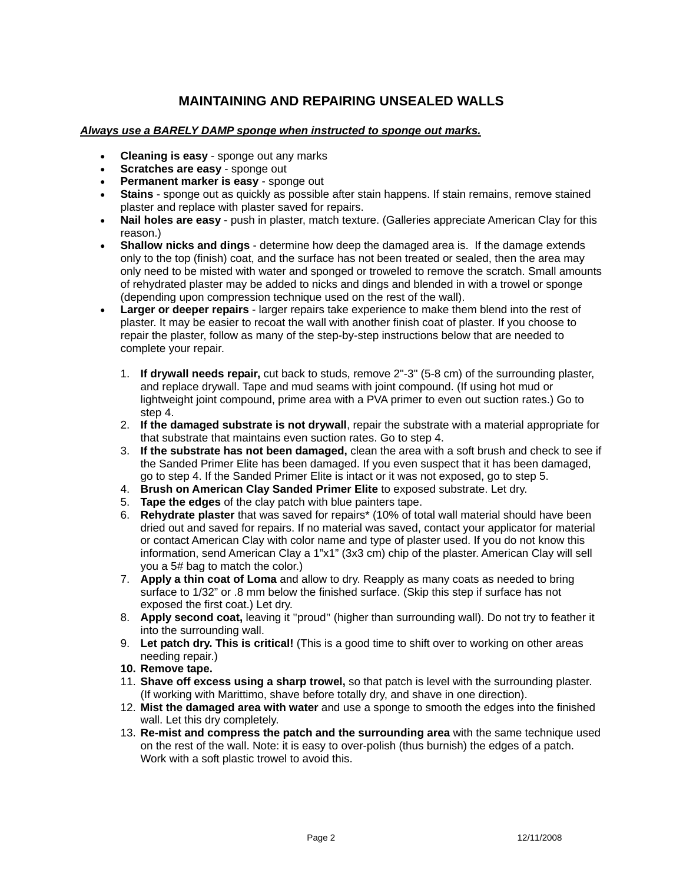## **MAINTAINING AND REPAIRING UNSEALED WALLS**

#### *Always use a BARELY DAMP sponge when instructed to sponge out marks.*

- **Cleaning is easy** sponge out any marks
- **Scratches are easy** sponge out
- **Permanent marker is easy** sponge out
- **Stains** sponge out as quickly as possible after stain happens. If stain remains, remove stained plaster and replace with plaster saved for repairs.
- **Nail holes are easy** push in plaster, match texture. (Galleries appreciate American Clay for this reason.)
- **Shallow nicks and dings** determine how deep the damaged area is. If the damage extends only to the top (finish) coat, and the surface has not been treated or sealed, then the area may only need to be misted with water and sponged or troweled to remove the scratch. Small amounts of rehydrated plaster may be added to nicks and dings and blended in with a trowel or sponge (depending upon compression technique used on the rest of the wall).
- **Larger or deeper repairs** larger repairs take experience to make them blend into the rest of plaster. It may be easier to recoat the wall with another finish coat of plaster. If you choose to repair the plaster, follow as many of the step-by-step instructions below that are needed to complete your repair.
	- 1. **If drywall needs repair,** cut back to studs, remove 2"-3" (5-8 cm) of the surrounding plaster, and replace drywall. Tape and mud seams with joint compound. (If using hot mud or lightweight joint compound, prime area with a PVA primer to even out suction rates.) Go to step 4.
	- 2. **If the damaged substrate is not drywall**, repair the substrate with a material appropriate for that substrate that maintains even suction rates. Go to step 4.
	- 3. **If the substrate has not been damaged,** clean the area with a soft brush and check to see if the Sanded Primer Elite has been damaged. If you even suspect that it has been damaged, go to step 4. If the Sanded Primer Elite is intact or it was not exposed, go to step 5.
	- 4. **Brush on American Clay Sanded Primer Elite** to exposed substrate. Let dry.
	- 5. **Tape the edges** of the clay patch with blue painters tape.
	- 6. **Rehydrate plaster** that was saved for repairs\* (10% of total wall material should have been dried out and saved for repairs. If no material was saved, contact your applicator for material or contact American Clay with color name and type of plaster used. If you do not know this information, send American Clay a 1"x1" (3x3 cm) chip of the plaster. American Clay will sell you a 5# bag to match the color.)
	- 7. **Apply a thin coat of Loma** and allow to dry. Reapply as many coats as needed to bring surface to 1/32" or .8 mm below the finished surface. (Skip this step if surface has not exposed the first coat.) Let dry.
	- 8. **Apply second coat,** leaving it "proud" (higher than surrounding wall). Do not try to feather it into the surrounding wall.
	- 9. **Let patch dry. This is critical!** (This is a good time to shift over to working on other areas needing repair.)
	- **10. Remove tape.**
	- 11. **Shave off excess using a sharp trowel,** so that patch is level with the surrounding plaster. (If working with Marittimo, shave before totally dry, and shave in one direction).
	- 12. **Mist the damaged area with water** and use a sponge to smooth the edges into the finished wall. Let this dry completely.
	- 13. **Re-mist and compress the patch and the surrounding area** with the same technique used on the rest of the wall. Note: it is easy to over-polish (thus burnish) the edges of a patch. Work with a soft plastic trowel to avoid this.